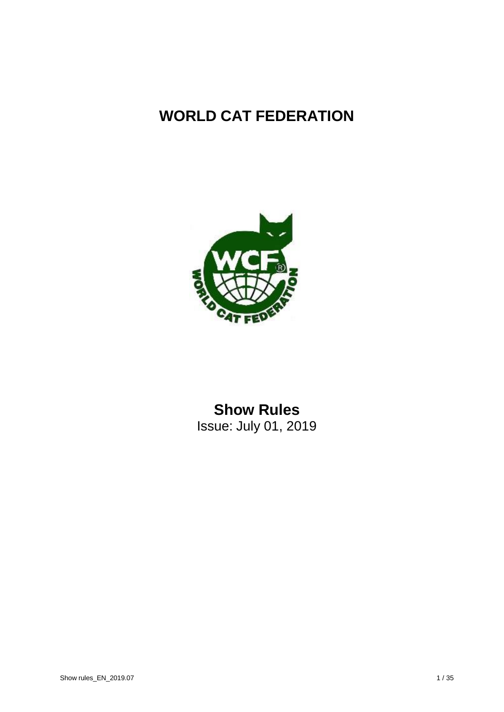## **WORLD CAT FEDERATION**



## **Show Rules** Issue: July 01, 2019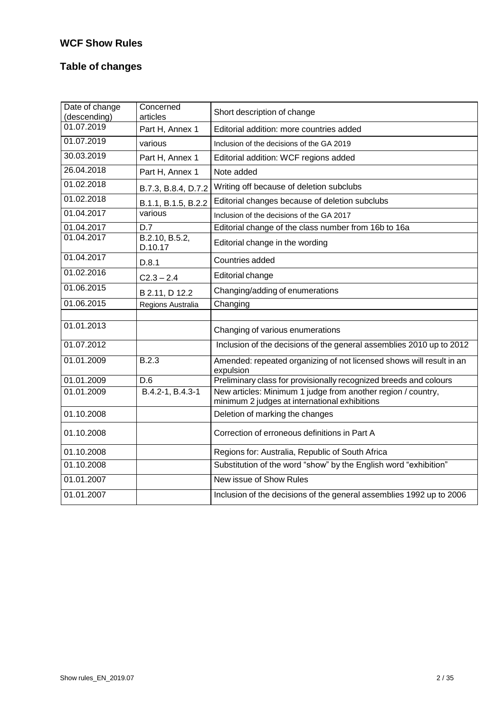## **WCF Show Rules**

## **Table of changes**

| Date of change<br>(descending) | Concerned<br>articles     | Short description of change                                                                                   |
|--------------------------------|---------------------------|---------------------------------------------------------------------------------------------------------------|
| 01.07.2019                     | Part H, Annex 1           | Editorial addition: more countries added                                                                      |
| 01.07.2019                     | various                   | Inclusion of the decisions of the GA 2019                                                                     |
| 30.03.2019                     | Part H, Annex 1           | Editorial addition: WCF regions added                                                                         |
| 26.04.2018                     | Part H, Annex 1           | Note added                                                                                                    |
| 01.02.2018                     | B.7.3, B.8.4, D.7.2       | Writing off because of deletion subclubs                                                                      |
| 01.02.2018                     | B.1.1, B.1.5, B.2.2       | Editorial changes because of deletion subclubs                                                                |
| 01.04.2017                     | various                   | Inclusion of the decisions of the GA 2017                                                                     |
| 01.04.2017                     | D.7                       | Editorial change of the class number from 16b to 16a                                                          |
| 01.04.2017                     | B.2.10, B.5.2,<br>D.10.17 | Editorial change in the wording                                                                               |
| 01.04.2017                     | D.8.1                     | Countries added                                                                                               |
| 01.02.2016                     | $C2.3 - 2.4$              | Editorial change                                                                                              |
| 01.06.2015                     | B 2.11, D 12.2            | Changing/adding of enumerations                                                                               |
| $01.\overline{06.2015}$        | Regions Australia         | Changing                                                                                                      |
|                                |                           |                                                                                                               |
| 01.01.2013                     |                           | Changing of various enumerations                                                                              |
| 01.07.2012                     |                           | Inclusion of the decisions of the general assemblies 2010 up to 2012                                          |
| 01.01.2009                     | B.2.3                     | Amended: repeated organizing of not licensed shows will result in an<br>expulsion                             |
| 01.01.2009                     | D.6                       | Preliminary class for provisionally recognized breeds and colours                                             |
| 01.01.2009                     | B.4.2-1, B.4.3-1          | New articles: Minimum 1 judge from another region / country,<br>minimum 2 judges at international exhibitions |
| 01.10.2008                     |                           | Deletion of marking the changes                                                                               |
| 01.10.2008                     |                           | Correction of erroneous definitions in Part A                                                                 |
| 01.10.2008                     |                           | Regions for: Australia, Republic of South Africa                                                              |
| 01.10.2008                     |                           | Substitution of the word "show" by the English word "exhibition"                                              |
| 01.01.2007                     |                           | New issue of Show Rules                                                                                       |
| 01.01.2007                     |                           | Inclusion of the decisions of the general assemblies 1992 up to 2006                                          |